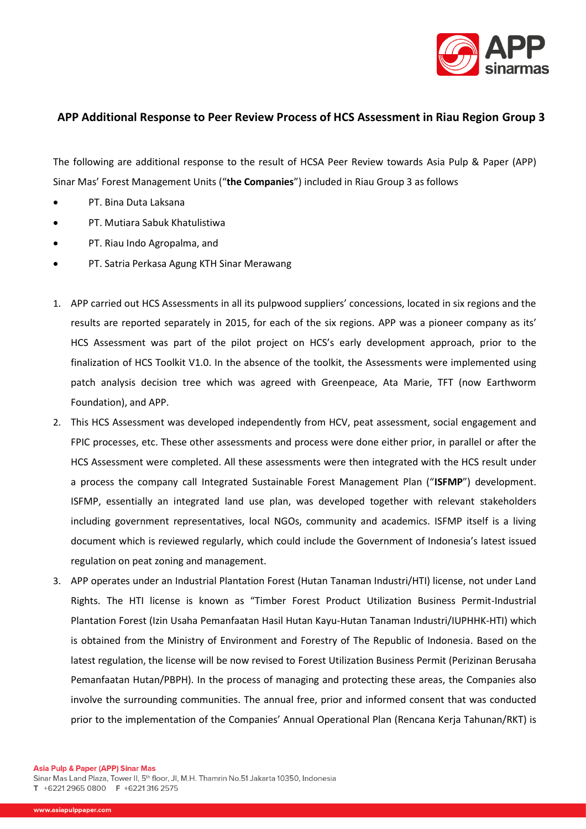

## **APP Additional Response to Peer Review Process of HCS Assessment in Riau Region Group 3**

The following are additional response to the result of HCSA Peer Review towards Asia Pulp & Paper (APP) Sinar Mas' Forest Management Units ("**the Companies**") included in Riau Group 3 as follows

- PT. Bina Duta Laksana
- PT. Mutiara Sabuk Khatulistiwa
- PT. Riau Indo Agropalma, and
- PT. Satria Perkasa Agung KTH Sinar Merawang
- 1. APP carried out HCS Assessments in all its pulpwood suppliers' concessions, located in six regions and the results are reported separately in 2015, for each of the six regions. APP was a pioneer company as its' HCS Assessment was part of the pilot project on HCS's early development approach, prior to the finalization of HCS Toolkit V1.0. In the absence of the toolkit, the Assessments were implemented using patch analysis decision tree which was agreed with Greenpeace, Ata Marie, TFT (now Earthworm Foundation), and APP.
- 2. This HCS Assessment was developed independently from HCV, peat assessment, social engagement and FPIC processes, etc. These other assessments and process were done either prior, in parallel or after the HCS Assessment were completed. All these assessments were then integrated with the HCS result under a process the company call Integrated Sustainable Forest Management Plan ("**ISFMP**") development. ISFMP, essentially an integrated land use plan, was developed together with relevant stakeholders including government representatives, local NGOs, community and academics. ISFMP itself is a living document which is reviewed regularly, which could include the Government of Indonesia's latest issued regulation on peat zoning and management.
- 3. APP operates under an Industrial Plantation Forest (Hutan Tanaman Industri/HTI) license, not under Land Rights. The HTI license is known as "Timber Forest Product Utilization Business Permit-Industrial Plantation Forest (Izin Usaha Pemanfaatan Hasil Hutan Kayu-Hutan Tanaman Industri/IUPHHK-HTI) which is obtained from the Ministry of Environment and Forestry of The Republic of Indonesia. Based on the latest regulation, the license will be now revised to Forest Utilization Business Permit (Perizinan Berusaha Pemanfaatan Hutan/PBPH). In the process of managing and protecting these areas, the Companies also involve the surrounding communities. The annual free, prior and informed consent that was conducted prior to the implementation of the Companies' Annual Operational Plan (Rencana Kerja Tahunan/RKT) is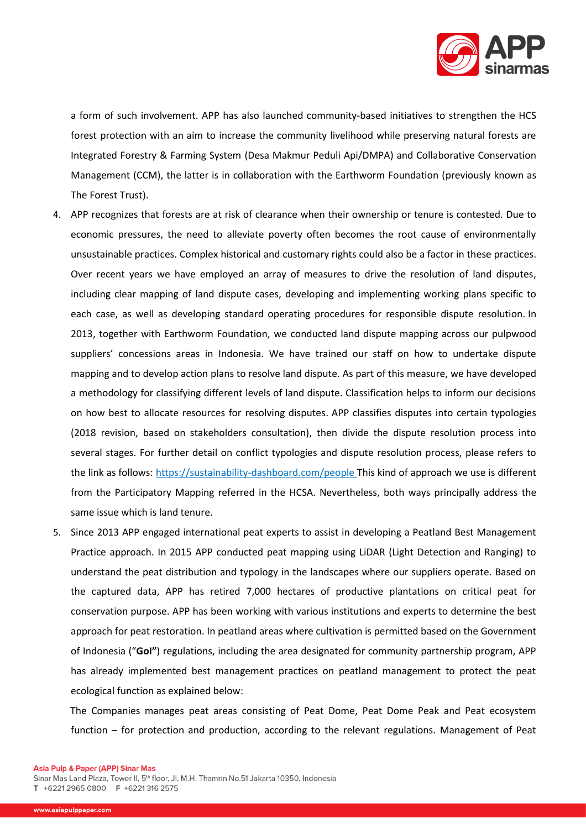

a form of such involvement. APP has also launched community-based initiatives to strengthen the HCS forest protection with an aim to increase the community livelihood while preserving natural forests are Integrated Forestry & Farming System (Desa Makmur Peduli Api/DMPA) and Collaborative Conservation Management (CCM), the latter is in collaboration with the Earthworm Foundation (previously known as The Forest Trust).

- 4. APP recognizes that forests are at risk of clearance when their ownership or tenure is contested. Due to economic pressures, the need to alleviate poverty often becomes the root cause of environmentally unsustainable practices. Complex historical and customary rights could also be a factor in these practices. Over recent years we have employed an array of measures to drive the resolution of land disputes, including clear mapping of land dispute cases, developing and implementing working plans specific to each case, as well as developing standard operating procedures for responsible dispute resolution. In 2013, together with Earthworm Foundation, we conducted land dispute mapping across our pulpwood suppliers' concessions areas in Indonesia. We have trained our staff on how to undertake dispute mapping and to develop action plans to resolve land dispute. As part of this measure, we have developed a methodology for classifying different levels of land dispute. Classification helps to inform our decisions on how best to allocate resources for resolving disputes. APP classifies disputes into certain typologies (2018 revision, based on stakeholders consultation), then divide the dispute resolution process into several stages. For further detail on conflict typologies and dispute resolution process, please refers to the link as follows:<https://sustainability-dashboard.com/people> This kind of approach we use is different from the Participatory Mapping referred in the HCSA. Nevertheless, both ways principally address the same issue which is land tenure.
- 5. Since 2013 APP engaged international peat experts to assist in developing a Peatland Best Management Practice approach. In 2015 APP conducted peat mapping using LiDAR (Light Detection and Ranging) to understand the peat distribution and typology in the landscapes where our suppliers operate. Based on the captured data, APP has retired 7,000 hectares of productive plantations on critical peat for conservation purpose. APP has been working with various institutions and experts to determine the best approach for peat restoration. In peatland areas where cultivation is permitted based on the Government of Indonesia ("**GoI"**) regulations, including the area designated for community partnership program, APP has already implemented best management practices on peatland management to protect the peat ecological function as explained below:

 The Companies manages peat areas consisting of Peat Dome, Peat Dome Peak and Peat ecosystem function – for protection and production, according to the relevant regulations. Management of Peat